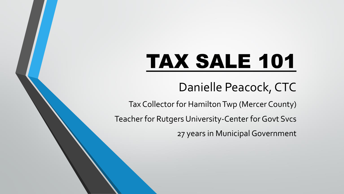# TAX SALE 101

## Danielle Peacock, CTC

Tax Collector for Hamilton Twp (Mercer County)

Teacher for Rutgers University-Center for Govt Svcs

27 years in Municipal Government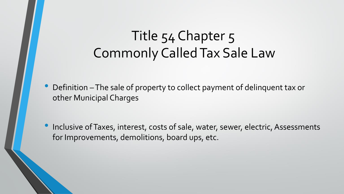# Title 54 Chapter 5 Commonly Called Tax Sale Law

• Definition –The sale of property to collect payment of delinquent tax or other Municipal Charges

• Inclusive of Taxes, interest, costs of sale, water, sewer, electric, Assessments for Improvements, demolitions, board ups, etc.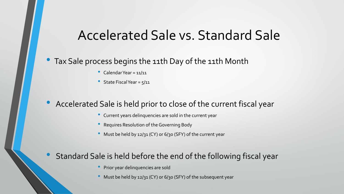### Accelerated Sale vs. Standard Sale

### • Tax Sale process begins the 11th Day of the 11th Month

- Calendar Year = 11/11
- State Fiscal Year = 5/11

### • Accelerated Sale is held prior to close of the current fiscal year

- Current years delinquencies are sold in the current year
- Requires Resolution of the Governing Body
- Must be held by 12/31 (CY) or 6/30 (SFY) of the current year

### Standard Sale is held before the end of the following fiscal year

- Prior year delinquencies are sold
- Must be held by 12/31 (CY) or 6/30 (SFY) of the subsequent year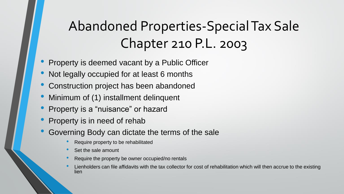# Abandoned Properties-Special Tax Sale Chapter 210 P.L. 2003

- Property is deemed vacant by a Public Officer
- Not legally occupied for at least 6 months
- Construction project has been abandoned
- Minimum of (1) installment delinquent
- Property is a "nuisance" or hazard
- Property is in need of rehab
- Governing Body can dictate the terms of the sale
	- Require property to be rehabilitated
	- Set the sale amount
	- Require the property be owner occupied/no rentals
	- Lienholders can file affidavits with the tax collector for cost of rehabilitation which will then accrue to the existing lien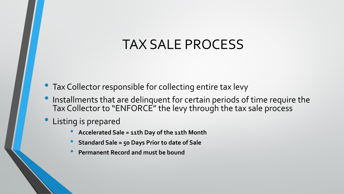# TAX SALE PROCESS

- Tax Collector responsible for collecting entire tax levy
- Installments that are delinquent for certain periods of time require the Tax Collector to "ENFORCE" the levy through the tax sale process
- Listing is prepared
	- **Accelerated Sale = 11th Day of the 11th Month**
	- **Standard Sale = 50 Days Prior to date of Sale**
	- **Permanent Record and must be bound**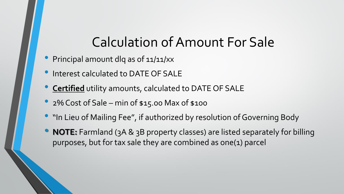# Calculation of Amount For Sale

- Principal amount dlq as of 11/11/xx
- Interest calculated to DATE OF SALE
- **Certified** utility amounts, calculated to DATE OF SALE
- 2% Cost of Sale min of \$15.00 Max of \$100
- "In Lieu of Mailing Fee", if authorized by resolution of Governing Body
- **NOTE:** Farmland (3A & 3B property classes) are listed separately for billing purposes, but for tax sale they are combined as one(1) parcel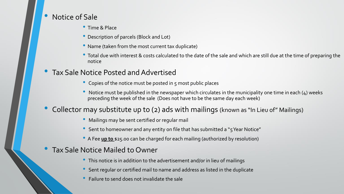#### • Notice of Sale

- Time & Place
- Description of parcels (Block and Lot)
- Name (taken from the most current tax duplicate)
- Total due with interest & costs calculated to the date of the sale and which are still due at the time of preparing the notice
- Tax Sale Notice Posted and Advertised
	- Copies of the notice must be posted in 5 most public places
	- Notice must be published in the newspaper which circulates in the municipality one time in each (4) weeks preceding the week of the sale (Does not have to be the same day each week)
- Collector may substitute up to (2) ads with mailings (known as "In Lieu of" Mailings)
	- Mailings may be sent certified or regular mail
	- Sent to homeowner and any entity on file that has submitted a "5 Year Notice"
	- A Fee **up to** \$25.00 can be charged for each mailing (authorized by resolution)
- Tax Sale Notice Mailed to Owner
	- This notice is in addition to the advertisement and/or in lieu of mailings
	- Sent regular or certified mail to name and address as listed in the duplicate
	- Failure to send does not invalidate the sale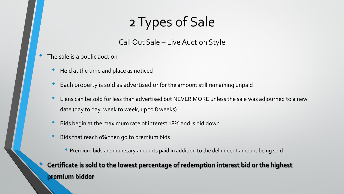# 2 Types of Sale

### Call Out Sale – Live Auction Style

- The sale is a public auction
	- Held at the time and place as noticed
	- Each property is sold as advertised or for the amount still remaining unpaid
	- Liens can be sold for less than advertised but NEVER MORE unless the sale was adjourned to a new date (day to day, week to week, up to 8 weeks)
	- Bids begin at the maximum rate of interest 18% and is bid down
	- Bids that reach 0% then go to premium bids
		- Premium bids are monetary amounts paid in addition to the delinquent amount being sold

### • **Certificate is sold to the lowest percentage of redemption interest bid or the highest premium bidder**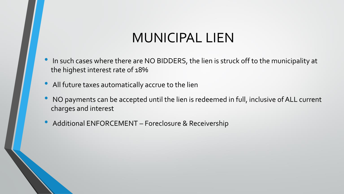# MUNICIPAL LIEN

- In such cases where there are NO BIDDERS, the lien is struck off to the municipality at the highest interest rate of 18%
- All future taxes automatically accrue to the lien
- NO payments can be accepted until the lien is redeemed in full, inclusive of ALL current charges and interest
- Additional ENFORCEMENT Foreclosure & Receivership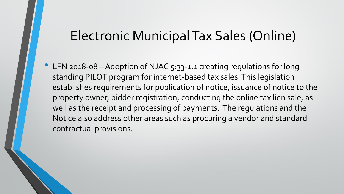### Electronic Municipal Tax Sales (Online)

• LFN 2018-08 - Adoption of NJAC 5:33-1.1 creating regulations for long standing PILOT program for internet-based tax sales. This legislation establishes requirements for publication of notice, issuance of notice to the property owner, bidder registration, conducting the online tax lien sale, as well as the receipt and processing of payments. The regulations and the Notice also address other areas such as procuring a vendor and standard contractual provisions.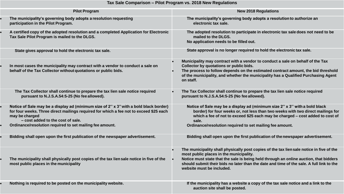#### **Tax Sale Comparison – Pilot Program vs. 2018 New Regulations**

| <b>Pilot Program</b>                                                                                                                                                                                                                                                                               | <b>New 2018 Regulations</b>                                                                                                                                                                                                                                                                                                                           |
|----------------------------------------------------------------------------------------------------------------------------------------------------------------------------------------------------------------------------------------------------------------------------------------------------|-------------------------------------------------------------------------------------------------------------------------------------------------------------------------------------------------------------------------------------------------------------------------------------------------------------------------------------------------------|
| The municipality's governing body adopts a resolution requesting<br>participation in the Pilot Program.                                                                                                                                                                                            | The municipality's governing body adopts a resolution to authorize an<br>electronic tax sale.                                                                                                                                                                                                                                                         |
| A certified copy of the adopted resolution and a completed Application for Electronic<br>Tax Sale Pilot Program is mailed to the DLGS.                                                                                                                                                             | The adopted resolution to participate in electronic tax sale does not need to be<br>mailed to the DLGS.<br>No application needs to be filled out.                                                                                                                                                                                                     |
| State gives approval to hold the electronic tax sale.                                                                                                                                                                                                                                              | State approval is no longer required to hold the electronic tax sale.                                                                                                                                                                                                                                                                                 |
| In most cases the municipality may contract with a vendor to conduct a sale on<br>behalf of the Tax Collector without quotations or public bids.                                                                                                                                                   | Municipality may contract with a vendor to conduct a sale on behalf of the Tax<br>Collector by quotations or public bids.<br>The process to follow depends on the estimated contract amount, the bid threshold<br>of the municipality, and whether the municipality has a Qualified Purchasing Agent<br>on staff.                                     |
| The Tax Collector shall continue to prepare the tax lien sale notice required<br>pursuant to N.J.S.A.54:5-25 (No fee allowed).                                                                                                                                                                     | The Tax Collector shall continue to prepare the tax lien sale notice required<br>pursuant to N.J.S.A.54:5-25 (No fee allowed).                                                                                                                                                                                                                        |
| Notice of Sale may be a display ad (minimum size of 2" x 3" with a bold black border)<br>for four weeks. Three direct mailings required for which a fee not to exceed \$25 each<br>may be charged<br>- cost added to the cost of sale.<br>Ordinance/resolution required to set mailing fee amount. | Notice of Sale may be a display ad (minimum size 2" x 3" with a bold black<br>border) for four weeks or, not less than two weeks with two direct mailings for<br>which a fee of not to exceed \$25 each may be charged - cost added to cost of<br>sale.<br>Ordinance/resolution required to set mailing fee amount.                                   |
| Bidding shall open upon the first publication of the newspaper advertisement.                                                                                                                                                                                                                      | Bidding shall open upon the first publication of the newspaper advertisement.                                                                                                                                                                                                                                                                         |
| The municipality shall physically post copies of the tax lien sale notice in five of the<br>most public places in the municipality                                                                                                                                                                 | The municipality shall physically post copies of the tax lien sale notice in five of the<br>most public places in the municipality.<br>Notice must state that the sale is being held through an online auction, that bidders<br>should submit their bids no later than the date and time of the sale. A full link to the<br>website must be included. |
| Nothing is required to be posted on the municipality website.                                                                                                                                                                                                                                      | If the municipality has a website a copy of the tax sale notice and a link to the<br>auction site shall be posted.                                                                                                                                                                                                                                    |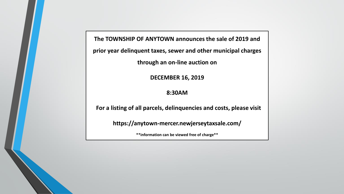**The TOWNSHIP OF ANYTOWN announces the sale of 2019 and** 

**prior year delinquent taxes, sewer and other municipal charges** 

**through an on-line auction on**

**DECEMBER 16, 2019**

**8:30AM**

 **For a listing of all parcels, delinquencies and costs, please visit**

**https://anytown-mercer.newjerseytaxsale.com/**

**\*\*information can be viewed free of charge\*\***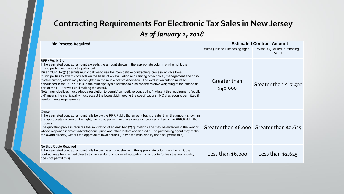### **Contracting Requirements For Electronic Tax Sales in New Jersey**  *As of January 1, 2018*

| <b>Bid Process Required</b>                                                                                                                                                                                                                                                                                                                                                                                                                                                                                                                                                                                                                                                                                                                                                                                                                                                                                                                                     | <b>Estimated Contract Amount</b> |                                              |
|-----------------------------------------------------------------------------------------------------------------------------------------------------------------------------------------------------------------------------------------------------------------------------------------------------------------------------------------------------------------------------------------------------------------------------------------------------------------------------------------------------------------------------------------------------------------------------------------------------------------------------------------------------------------------------------------------------------------------------------------------------------------------------------------------------------------------------------------------------------------------------------------------------------------------------------------------------------------|----------------------------------|----------------------------------------------|
|                                                                                                                                                                                                                                                                                                                                                                                                                                                                                                                                                                                                                                                                                                                                                                                                                                                                                                                                                                 | With Qualified Purchasing Agent  | <b>Without Qualified Purchasing</b><br>Agent |
| RFP / Public Bid<br>If the estimated contract amount exceeds the amount shown in the appropriate column on the right, the<br>municipality must conduct a public bid.<br>Rule 5:33-1.1(c)(1) permits municipalities to use the "competitive contracting" process which allows<br>municipalities to award contracts on the basis of an evaluation and ranking of technical, management and cost-<br>related criteria, which may be weighted in the municipality's discretion. The evaluation criteria must be<br>announced in the RFP but it is in the municipality's discretion to disclose the relative weighting of the criteria as<br>part of the RFP or wait until making the award.<br>Note: municipalities must adopt a resolution to permit "competitive contracting". Absent this requirement, "public<br>bid" means the municipality must accept the lowest bid meeting the specifications. NO discretion is permitted if<br>vendor meets requirements. | Greater than<br>\$40,000         | Greater than \$17,500                        |
| Quote<br>If the estimated contract amount falls below the RFP/Public Bid amount but is greater than the amount shown in<br>the appropriate column on the right, the municipality may use a quotation process in lieu of the RFP/Public Bid<br>process.<br>The quotation process requires the solicitation of at least two (2) quotations and may be awarded to the vendor<br>whose response is "most advantageous, price and other factors considered." The purchasing agent may make<br>the award directly, without the approval of town council (unless the municipality does not permit this).                                                                                                                                                                                                                                                                                                                                                               |                                  | Greater than $$6,000$ Greater than $$2,625$  |
| No Bid / Quote Required<br>If the estimated contract amount falls below the amount shown in the appropriate column on the right, the<br>contract may be awarded directly to the vendor of choice without public bid or quote (unless the municipality<br>does not permit this).                                                                                                                                                                                                                                                                                                                                                                                                                                                                                                                                                                                                                                                                                 | Less than $$6,000$               | Less than $$2,625$                           |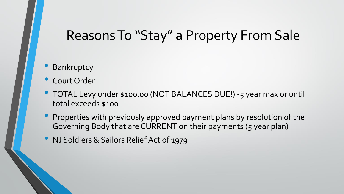### Reasons To "Stay" a Property From Sale

### **Bankruptcy**

- Court Order
- TOTAL Levy under \$100.00 (NOT BALANCES DUE!) -5 year max or until total exceeds \$100
- Properties with previously approved payment plans by resolution of the Governing Body that are CURRENT on their payments (5 year plan)
- NJ Soldiers & Sailors Relief Act of 1979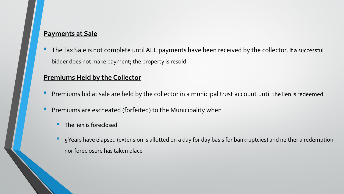#### **Payments at Sale**

The Tax Sale is not complete until ALL payments have been received by the collector. If a successful bidder does not make payment; the property is resold

#### **Premiums Held by the Collector**

- Premiums bid at sale are held by the collector in a municipal trust account until the lien is redeemed
- Premiums are escheated (forfeited) to the Municipality when
	- The lien is foreclosed
	- 5 Years have elapsed (extension is allotted on a day for day basis for bankruptcies) and neither a redemption nor foreclosure has taken place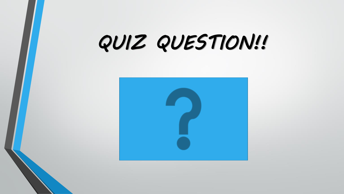# *QUIZ QUESTION!!*

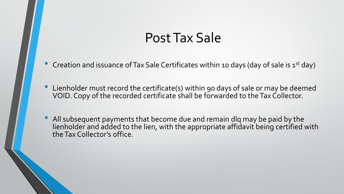### Post Tax Sale

- Creation and issuance of Tax Sale Certificates within 10 days (day of sale is 1<sup>st</sup> day)
- Lienholder must record the certificate(s) within 90 days of sale or may be deemed VOID. Copy of the recorded certificate shall be forwarded to the Tax Collector.
- All subsequent payments that become due and remain dlq may be paid by the lienholder and added to the lien, with the appropriate affidavit being certified with the Tax Collector's office.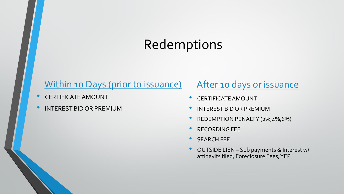# Redemptions

### Within 10 Days (prior to issuance)

- CERTIFICATE AMOUNT
- INTEREST BID OR PREMIUM

### After 10 days or issuance

- CERTIFICATE AMOUNT
- INTEREST BID OR PREMIUM
- REDEMPTION PENALTY (2%,4%,6%)
- RECORDING FEE
- SEARCH FEE
- OUTSIDE LIEN Sub payments & Interest w/ affidavits filed, Foreclosure Fees, YEP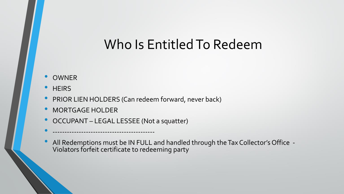## Who Is Entitled To Redeem

- OWNER
- **HEIRS**
- PRIOR LIEN HOLDERS (Can redeem forward, never back)
- MORTGAGE HOLDER
- OCCUPANT LEGAL LESSEE (Not a squatter)

• -------------------------------------------

• All Redemptions must be IN FULL and handled through the Tax Collector's Office -Violators forfeit certificate to redeeming party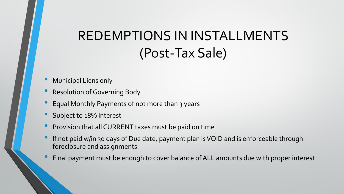# REDEMPTIONS IN INSTALLMENTS (Post-Tax Sale)

- Municipal Liens only
- Resolution of Governing Body
- Equal Monthly Payments of not more than 3 years
- Subject to 18% Interest
- Provision that all CURRENT taxes must be paid on time
- If not paid w/in 30 days of Due date, payment plan is VOID and is enforceable through foreclosure and assignments
- Final payment must be enough to cover balance of ALL amounts due with proper interest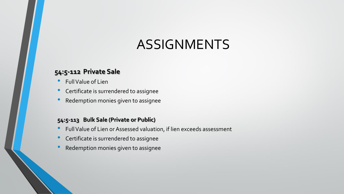### ASSIGNMENTS

#### **54:5-112 Private Sale**

- Full Value of Lien
- Certificate is surrendered to assignee
- Redemption monies given to assignee

#### **54:5-113 Bulk Sale (Private or Public)**

- Full Value of Lien or Assessed valuation, if lien exceeds assessment
- Certificate is surrendered to assignee
- Redemption monies given to assignee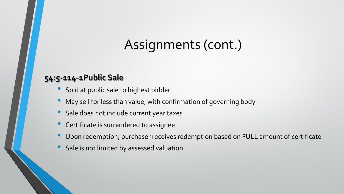# Assignments (cont.)

### **54:5-114-1Public Sale**

- Sold at public sale to highest bidder
- May sell for less than value, with confirmation of governing body
- Sale does not include current year taxes
- Certificate is surrendered to assignee
- Upon redemption, purchaser receives redemption based on FULL amount of certificate
- Sale is not limited by assessed valuation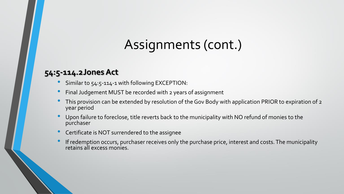# Assignments (cont.)

### **54:5-114.2Jones Act**

- Similar to 54:5-114-1 with following EXCEPTION:
- Final Judgement MUST be recorded with 2 years of assignment
- This provision can be extended by resolution of the Gov Body with application PRIOR to expiration of 2 year period
- Upon failure to foreclose, title reverts back to the municipality with NO refund of monies to the purchaser
- Certificate is NOT surrendered to the assignee
- If redemption occurs, purchaser receives only the purchase price, interest and costs. The municipality retains all excess monies.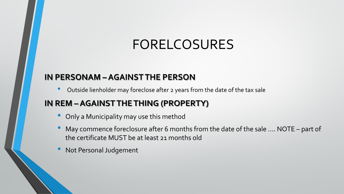# FORELCOSURES

### **IN PERSONAM – AGAINST THE PERSON**

• Outside lienholder may foreclose after 2 years from the date of the tax sale

### **IN REM –AGAINST THE THING (PROPERTY)**

- Only a Municipality may use this method
- May commence foreclosure after 6 months from the date of the sale .... NOTE part of the certificate MUST be at least 21 months old
- Not Personal Judgement